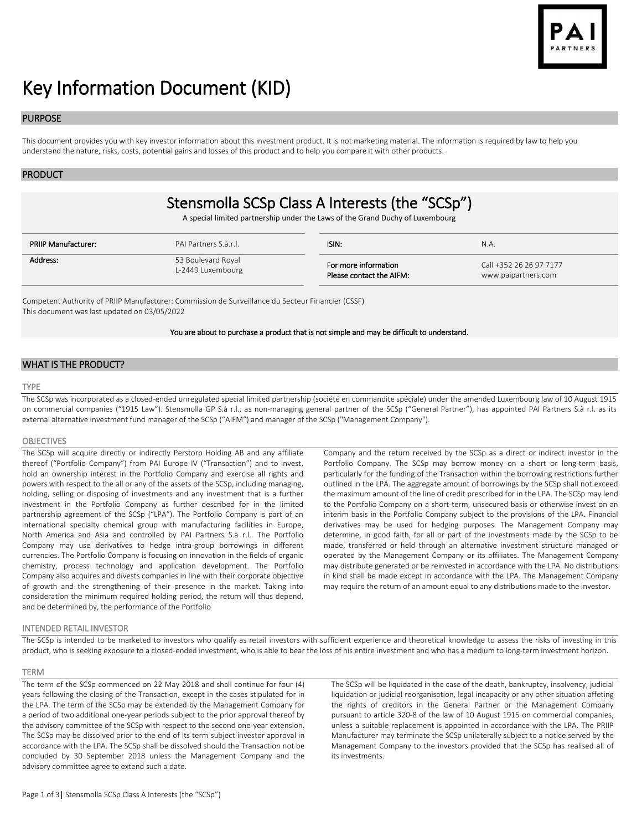

# Key Information Document (KID)

# PURPOSE

This document provides you with key investor information about this investment product. It is not marketing material. The information is required by law to help you understand the nature, risks, costs, potential gains and losses of this product and to help you compare it with other products.

#### PRODUCT

# Stensmolla SCSp Class A Interests (the "SCSp")

A special limited partnership under the Laws of the Grand Duchy of Luxembourg

| <b>PRIIP Manufacturer:</b> | PAI Partners S.à.r.l. | ISIN:                    | N.A.                    |
|----------------------------|-----------------------|--------------------------|-------------------------|
| Address:                   | 53 Boulevard Royal    | For more information     | Call +352 26 26 97 7177 |
|                            | L-2449 Luxembourg     | Please contact the AIFM: | www.paipartners.com     |

Competent Authority of PRIIP Manufacturer: Commission de Surveillance du Secteur Financier (CSSF) This document was last updated on 03/05/2022

You are about to purchase a product that is not simple and may be difficult to understand.

# WHAT IS THE PRODUCT?

# TYPE

The SCSp was incorporated as a closed-ended unregulated special limited partnership (société en commandite spéciale) under the amended Luxembourg law of 10 August 1915 on commercial companies ("1915 Law"). Stensmolla GP S.à r.l., as non-managing general partner of the SCSp ("General Partner"), has appointed PAI Partners S.à r.l. as its external alternative investment fund manager of the SCSp ("AIFM") and manager of the SCSp ("Management Company").

#### **OBJECTIVES**

The SCSp will acquire directly or indirectly Perstorp Holding AB and any affiliate thereof ("Portfolio Company") from PAI Europe IV ("Transaction") and to invest, hold an ownership interest in the Portfolio Company and exercise all rights and powers with respect to the all or any of the assets of the SCSp, including managing, holding, selling or disposing of investments and any investment that is a further investment in the Portfolio Company as further described for in the limited partnership agreement of the SCSp ("LPA"). The Portfolio Company is part of an international specialty chemical group with manufacturing facilities in Europe, North America and Asia and controlled by PAI Partners S.à r.l.. The Portfolio Company may use derivatives to hedge intra-group borrowings in different currencies. The Portfolio Company is focusing on innovation in the fields of organic chemistry, process technology and application development. The Portfolio Company also acquires and divests companies in line with their corporate objective of growth and the strengthening of their presence in the market. Taking into consideration the minimum required holding period, the return will thus depend, and be determined by, the performance of the Portfolio

Company and the return received by the SCSp as a direct or indirect investor in the Portfolio Company. The SCSp may borrow money on a short or long-term basis, particularly for the funding of the Transaction within the borrowing restrictions further outlined in the LPA. The aggregate amount of borrowings by the SCSp shall not exceed the maximum amount of the line of credit prescribed for in the LPA. The SCSp may lend to the Portfolio Company on a short-term, unsecured basis or otherwise invest on an interim basis in the Portfolio Company subject to the provisions of the LPA. Financial derivatives may be used for hedging purposes. The Management Company may determine, in good faith, for all or part of the investments made by the SCSp to be made, transferred or held through an alternative investment structure managed or operated by the Management Company or its affiliates. The Management Company may distribute generated or be reinvested in accordance with the LPA. No distributions in kind shall be made except in accordance with the LPA. The Management Company may require the return of an amount equal to any distributions made to the investor.

#### INTENDED RETAIL INVESTOR

The SCSp is intended to be marketed to investors who qualify as retail investors with sufficient experience and theoretical knowledge to assess the risks of investing in this product, who is seeking exposure to a closed-ended investment, who is able to bear the loss of his entire investment and who has a medium to long-term investment horizon.

#### TERM

The term of the SCSp commenced on 22 May 2018 and shall continue for four (4) years following the closing of the Transaction, except in the cases stipulated for in the LPA. The term of the SCSp may be extended by the Management Company for a period of two additional one-year periods subject to the prior approval thereof by the advisory committee of the SCSp with respect to the second one-year extension. The SCSp may be dissolved prior to the end of its term subject investor approval in accordance with the LPA. The SCSp shall be dissolved should the Transaction not be concluded by 30 September 2018 unless the Management Company and the advisory committee agree to extend such a date.

The SCSp will be liquidated in the case of the death, bankruptcy, insolvency, judicial liquidation or judicial reorganisation, legal incapacity or any other situation affeting the rights of creditors in the General Partner or the Management Company pursuant to article 320-8 of the law of 10 August 1915 on commercial companies, unless a suitable replacement is appointed in accordance with the LPA. The PRIIP Manufacturer may terminate the SCSp unilaterally subject to a notice served by the Management Company to the investors provided that the SCSp has realised all of its investments.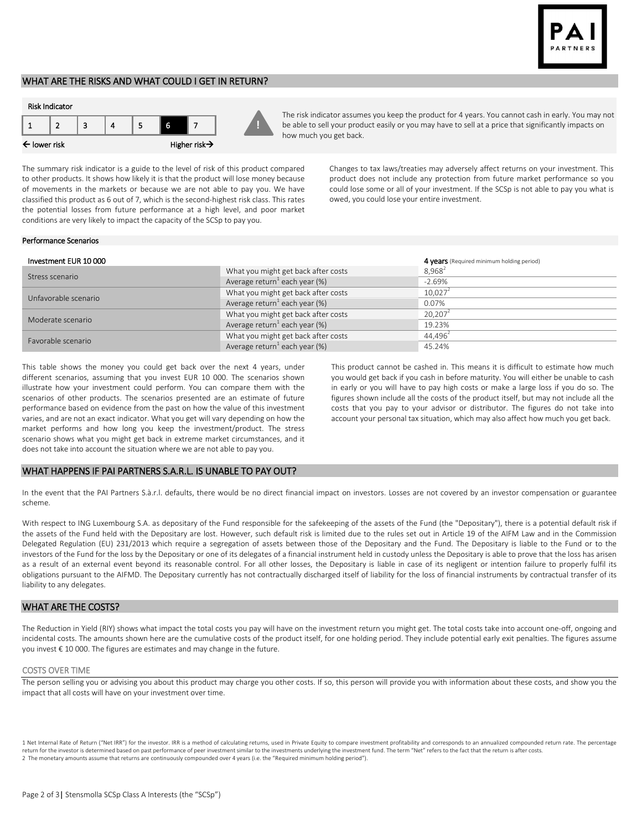

# WHAT ARE THE RISKS AND WHAT COULD I GET IN RETURN?



The risk indicator assumes you keep the product for 4 years. You cannot cash in early. You may not be able to sell your product easily or you may have to sell at a price that significantly impacts on how much you get back.

The summary risk indicator is a guide to the level of risk of this product compared to other products. It shows how likely it is that the product will lose money because of movements in the markets or because we are not able to pay you. We have classified this product as 6 out of 7, which is the second-highest risk class. This rates the potential losses from future performance at a high level, and poor market conditions are very likely to impact the capacity of the SCSp to pay you.

Changes to tax laws/treaties may adversely affect returns on your investment. This product does not include any protection from future market performance so you could lose some or all of your investment. If the SCSp is not able to pay you what is owed, you could lose your entire investment.

#### Performance Scenarios

| Investment EUR 10000 |                                           | 4 years (Required minimum holding period) |
|----------------------|-------------------------------------------|-------------------------------------------|
| Stress scenario      | What you might get back after costs       | $8.968^{2}$                               |
|                      | Average return <sup>1</sup> each year (%) | $-2.69%$                                  |
| Unfavorable scenario | What you might get back after costs       | 10.027 <sup>2</sup>                       |
|                      | Average return <sup>1</sup> each year (%) | 0.07%                                     |
| Moderate scenario    | What you might get back after costs       | 20.207 <sup>2</sup>                       |
|                      | Average return <sup>1</sup> each year (%) | 19.23%                                    |
| Favorable scenario   | What you might get back after costs       | 44.496 <sup>2</sup>                       |
|                      | Average return <sup>1</sup> each year (%) | 45.24%                                    |

**!**

This table shows the money you could get back over the next 4 years, under different scenarios, assuming that you invest EUR 10 000. The scenarios shown illustrate how your investment could perform. You can compare them with the scenarios of other products. The scenarios presented are an estimate of future performance based on evidence from the past on how the value of this investment varies, and are not an exact indicator. What you get will vary depending on how the market performs and how long you keep the investment/product. The stress scenario shows what you might get back in extreme market circumstances, and it does not take into account the situation where we are not able to pay you.

This product cannot be cashed in. This means it is difficult to estimate how much you would get back if you cash in before maturity. You will either be unable to cash in early or you will have to pay high costs or make a large loss if you do so. The figures shown include all the costs of the product itself, but may not include all the costs that you pay to your advisor or distributor. The figures do not take into account your personal tax situation, which may also affect how much you get back.

#### WHAT HAPPENS IF PAI PARTNERS S.A.R.L. IS UNABLE TO PAY OUT?

In the event that the PAI Partners S.à.r.l. defaults, there would be no direct financial impact on investors. Losses are not covered by an investor compensation or guarantee scheme.

With respect to ING Luxembourg S.A. as depositary of the Fund responsible for the safekeeping of the assets of the Fund (the "Depositary"), there is a potential default risk if the assets of the Fund held with the Depositary are lost. However, such default risk is limited due to the rules set out in Article 19 of the AIFM Law and in the Commission Delegated Regulation (EU) 231/2013 which require a segregation of assets between those of the Depositary and the Fund. The Depositary is liable to the Fund or to the investors of the Fund for the loss by the Depositary or one of its delegates of a financial instrument held in custody unless the Depositary is able to prove that the loss has arisen as a result of an external event beyond its reasonable control. For all other losses, the Depositary is liable in case of its negligent or intention failure to properly fulfil its obligations pursuant to the AIFMD. The Depositary currently has not contractually discharged itself of liability for the loss of financial instruments by contractual transfer of its liability to any delegates.

### WHAT ARE THE COSTS?

The Reduction in Yield (RIY) shows what impact the total costs you pay will have on the investment return you might get. The total costs take into account one-off, ongoing and incidental costs. The amounts shown here are the cumulative costs of the product itself, for one holding period. They include potential early exit penalties. The figures assume you invest € 10 000. The figures are estimates and may change in the future.

#### COSTS OVER TIME

The person selling you or advising you about this product may charge you other costs. If so, this person will provide you with information about these costs, and show you the impact that all costs will have on your investment over time.

1 Net Internal Rate of Return ("Net IRR") for the investor. IRR is a method of calculating returns, used in Private Equity to compare investment profitability and corresponds to an annualized compounded return rate. The pe return for the investor is determined based on past performance of peer investment similar to the investments underlying the investment fund. The term "Net" refers to the fact that the return is after costs. 2 The monetary amounts assume that returns are continuously compounded over 4 years (i.e. the "Required minimum holding period").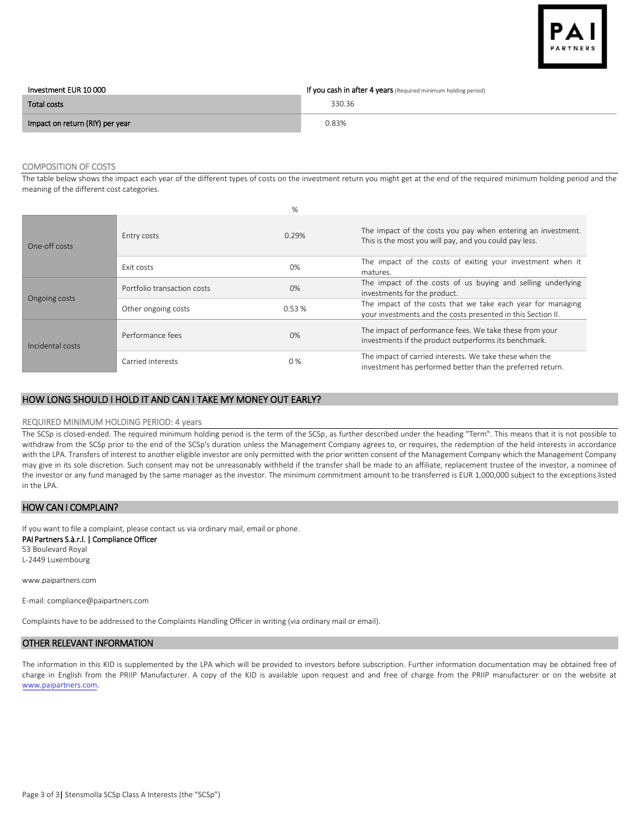

| Investment EUR 10 000           | If you cash in after 4 years (Required minimum holding period) |
|---------------------------------|----------------------------------------------------------------|
| Total costs                     | 330.36                                                         |
| Impact on return (RIY) per year | 0.83%                                                          |

# COMPOSITION OF COSTS

The table below shows the impact each year of the different types of costs on the investment return you might get at the end of the required minimum holding period and the meaning of the different cost categories.

|                  |                             | %     |                                                                                                                             |
|------------------|-----------------------------|-------|-----------------------------------------------------------------------------------------------------------------------------|
| One-off costs    | Entry costs                 | 0.29% | The impact of the costs you pay when entering an investment.<br>This is the most you will pay, and you could pay less.      |
|                  | <b>Fxit costs</b>           | 0%    | The impact of the costs of exiting your investment when it<br>matures.                                                      |
| Ongoing costs    | Portfolio transaction costs | 0%    | The impact of the costs of us buying and selling underlying<br>investments for the product.                                 |
|                  | Other ongoing costs         | 0.53% | The impact of the costs that we take each year for managing<br>your investments and the costs presented in this Section II. |
| Incidental costs | Performance fees            | 0%    | The impact of performance fees. We take these from your<br>investments if the product outperforms its benchmark.            |
|                  | Carried interests           | 0%    | The impact of carried interests. We take these when the<br>investment has performed better than the preferred return.       |

### HOW LONG SHOULD I HOLD IT AND CAN I TAKE MY MONEY OUT EARLY?

#### REQUIRED MINIMUM HOLDING PERIOD: 4 years

The SCSp is closed-ended. The required minimum holding period is the term of the SCSp, as further described under the heading "Term". This means that it is not possible to withdraw from the SCSp prior to the end of the SCSp's duration unless the Management Company agrees to, or requires, the redemption of the held interests in accordance with the LPA. Transfers of interest to another eligible investor are only permitted with the prior written consent of the Management Company which the Management Company may give in its sole discretion. Such consent may not be unreasonably withheld if the transfer shall be made to an affiliate, replacement trustee of the investor, a nominee of the investor or any fund managed by the same manager as the investor. The minimum commitment amount to be transferred is EUR 1,000,000 subject to the exceptions listed in the LPA.

# HOW CAN I COMPLAIN?

If you want to file a complaint, please contact us via ordinary mail, email or phone.

PAI Partners S.à.r.l. | Compliance Officer

53 Boulevard Royal L-2449 Luxembourg

www.paipartners.com

E-mail: compliance@paipartners.com

Complaints have to be addressed to the Complaints Handling Officer in writing (via ordinary mail or email).

# OTHER RELEVANT INFORMATION

The information in this KID is supplemented by the LPA which will be provided to investors before subscription. Further information documentation may be obtained free of charge in English from the PRIIP Manufacturer. A copy of the KID is available upon request and and free of charge from the PRIIP manufacturer or on the website at [www.paipartners.com.](http://www.paipartners.com/)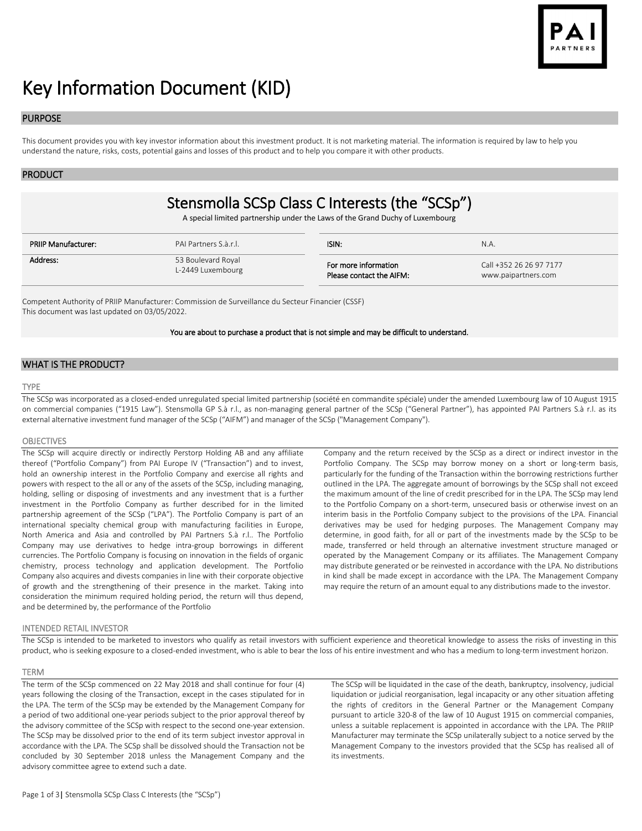

# Key Information Document (KID)

# PURPOSE

This document provides you with key investor information about this investment product. It is not marketing material. The information is required by law to help you understand the nature, risks, costs, potential gains and losses of this product and to help you compare it with other products.

#### PRODUCT

# Stensmolla SCSp Class C Interests (the "SCSp")

A special limited partnership under the Laws of the Grand Duchy of Luxembourg

| <b>PRIIP Manufacturer:</b> | PAI Partners S.à.r.l. | ISIN:                    | N.A.                    |
|----------------------------|-----------------------|--------------------------|-------------------------|
| Address:                   | 53 Boulevard Royal    | For more information     | Call +352 26 26 97 7177 |
|                            | L-2449 Luxembourg     | Please contact the AIFM: | www.paipartners.com     |

Competent Authority of PRIIP Manufacturer: Commission de Surveillance du Secteur Financier (CSSF) This document was last updated on 03/05/2022.

#### You are about to purchase a product that is not simple and may be difficult to understand.

# WHAT IS THE PRODUCT?

# TYPE

The SCSp was incorporated as a closed-ended unregulated special limited partnership (société en commandite spéciale) under the amended Luxembourg law of 10 August 1915 on commercial companies ("1915 Law"). Stensmolla GP S.à r.l., as non-managing general partner of the SCSp ("General Partner"), has appointed PAI Partners S.à r.l. as its external alternative investment fund manager of the SCSp ("AIFM") and manager of the SCSp ("Management Company").

#### **OBJECTIVES**

The SCSp will acquire directly or indirectly Perstorp Holding AB and any affiliate thereof ("Portfolio Company") from PAI Europe IV ("Transaction") and to invest, hold an ownership interest in the Portfolio Company and exercise all rights and powers with respect to the all or any of the assets of the SCSp, including managing, holding, selling or disposing of investments and any investment that is a further investment in the Portfolio Company as further described for in the limited partnership agreement of the SCSp ("LPA"). The Portfolio Company is part of an international specialty chemical group with manufacturing facilities in Europe, North America and Asia and controlled by PAI Partners S.à r.l.. The Portfolio Company may use derivatives to hedge intra-group borrowings in different currencies. The Portfolio Company is focusing on innovation in the fields of organic chemistry, process technology and application development. The Portfolio Company also acquires and divests companies in line with their corporate objective of growth and the strengthening of their presence in the market. Taking into consideration the minimum required holding period, the return will thus depend, and be determined by, the performance of the Portfolio

Company and the return received by the SCSp as a direct or indirect investor in the Portfolio Company. The SCSp may borrow money on a short or long-term basis, particularly for the funding of the Transaction within the borrowing restrictions further outlined in the LPA. The aggregate amount of borrowings by the SCSp shall not exceed the maximum amount of the line of credit prescribed for in the LPA. The SCSp may lend to the Portfolio Company on a short-term, unsecured basis or otherwise invest on an interim basis in the Portfolio Company subject to the provisions of the LPA. Financial derivatives may be used for hedging purposes. The Management Company may determine, in good faith, for all or part of the investments made by the SCSp to be made, transferred or held through an alternative investment structure managed or operated by the Management Company or its affiliates. The Management Company may distribute generated or be reinvested in accordance with the LPA. No distributions in kind shall be made except in accordance with the LPA. The Management Company may require the return of an amount equal to any distributions made to the investor.

#### INTENDED RETAIL INVESTOR

The SCSp is intended to be marketed to investors who qualify as retail investors with sufficient experience and theoretical knowledge to assess the risks of investing in this product, who is seeking exposure to a closed-ended investment, who is able to bear the loss of his entire investment and who has a medium to long-term investment horizon.

#### TERM

The term of the SCSp commenced on 22 May 2018 and shall continue for four (4) years following the closing of the Transaction, except in the cases stipulated for in the LPA. The term of the SCSp may be extended by the Management Company for a period of two additional one-year periods subject to the prior approval thereof by the advisory committee of the SCSp with respect to the second one-year extension. The SCSp may be dissolved prior to the end of its term subject investor approval in accordance with the LPA. The SCSp shall be dissolved should the Transaction not be concluded by 30 September 2018 unless the Management Company and the advisory committee agree to extend such a date.

The SCSp will be liquidated in the case of the death, bankruptcy, insolvency, judicial liquidation or judicial reorganisation, legal incapacity or any other situation affeting the rights of creditors in the General Partner or the Management Company pursuant to article 320-8 of the law of 10 August 1915 on commercial companies, unless a suitable replacement is appointed in accordance with the LPA. The PRIIP Manufacturer may terminate the SCSp unilaterally subject to a notice served by the Management Company to the investors provided that the SCSp has realised all of its investments.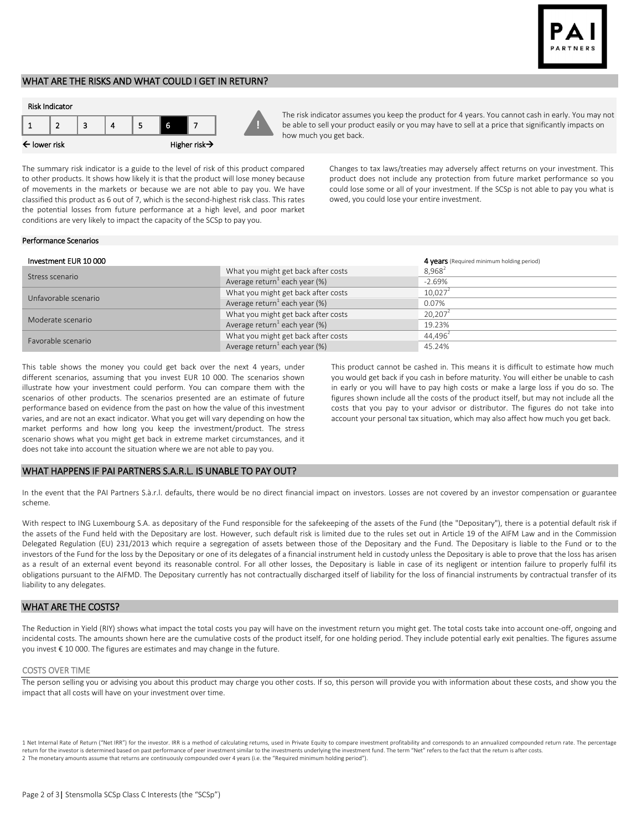

# WHAT ARE THE RISKS AND WHAT COULD I GET IN RETURN?



The risk indicator assumes you keep the product for 4 years. You cannot cash in early. You may not be able to sell your product easily or you may have to sell at a price that significantly impacts on how much you get back.

The summary risk indicator is a guide to the level of risk of this product compared to other products. It shows how likely it is that the product will lose money because of movements in the markets or because we are not able to pay you. We have classified this product as 6 out of 7, which is the second-highest risk class. This rates the potential losses from future performance at a high level, and poor market conditions are very likely to impact the capacity of the SCSp to pay you.

Changes to tax laws/treaties may adversely affect returns on your investment. This product does not include any protection from future market performance so you could lose some or all of your investment. If the SCSp is not able to pay you what is owed, you could lose your entire investment.

#### Performance Scenarios

| Investment EUR 10 000 |                                           | 4 years (Required minimum holding period) |
|-----------------------|-------------------------------------------|-------------------------------------------|
| Stress scenario       | What you might get back after costs       | $8.968^{2}$                               |
|                       | Average return <sup>1</sup> each year (%) | $-2.69%$                                  |
| Unfavorable scenario  | What you might get back after costs       | 10.027 <sup>2</sup>                       |
|                       | Average return <sup>1</sup> each year (%) | 0.07%                                     |
| Moderate scenario     | What you might get back after costs       | $20.207^2$                                |
|                       | Average return <sup>1</sup> each year (%) | 19.23%                                    |
| Favorable scenario    | What you might get back after costs       | 44.496 <sup>2</sup>                       |
|                       | Average return <sup>1</sup> each year (%) | 45.24%                                    |

**!**

This table shows the money you could get back over the next 4 years, under different scenarios, assuming that you invest EUR 10 000. The scenarios shown illustrate how your investment could perform. You can compare them with the scenarios of other products. The scenarios presented are an estimate of future performance based on evidence from the past on how the value of this investment varies, and are not an exact indicator. What you get will vary depending on how the market performs and how long you keep the investment/product. The stress scenario shows what you might get back in extreme market circumstances, and it does not take into account the situation where we are not able to pay you.

This product cannot be cashed in. This means it is difficult to estimate how much you would get back if you cash in before maturity. You will either be unable to cash in early or you will have to pay high costs or make a large loss if you do so. The figures shown include all the costs of the product itself, but may not include all the costs that you pay to your advisor or distributor. The figures do not take into account your personal tax situation, which may also affect how much you get back.

#### WHAT HAPPENS IF PAI PARTNERS S.A.R.L. IS UNABLE TO PAY OUT?

In the event that the PAI Partners S.à.r.l. defaults, there would be no direct financial impact on investors. Losses are not covered by an investor compensation or guarantee scheme.

With respect to ING Luxembourg S.A. as depositary of the Fund responsible for the safekeeping of the assets of the Fund (the "Depositary"), there is a potential default risk if the assets of the Fund held with the Depositary are lost. However, such default risk is limited due to the rules set out in Article 19 of the AIFM Law and in the Commission Delegated Regulation (EU) 231/2013 which require a segregation of assets between those of the Depositary and the Fund. The Depositary is liable to the Fund or to the investors of the Fund for the loss by the Depositary or one of its delegates of a financial instrument held in custody unless the Depositary is able to prove that the loss has arisen as a result of an external event beyond its reasonable control. For all other losses, the Depositary is liable in case of its negligent or intention failure to properly fulfil its obligations pursuant to the AIFMD. The Depositary currently has not contractually discharged itself of liability for the loss of financial instruments by contractual transfer of its liability to any delegates.

### WHAT ARE THE COSTS?

The Reduction in Yield (RIY) shows what impact the total costs you pay will have on the investment return you might get. The total costs take into account one-off, ongoing and incidental costs. The amounts shown here are the cumulative costs of the product itself, for one holding period. They include potential early exit penalties. The figures assume you invest € 10 000. The figures are estimates and may change in the future.

#### COSTS OVER TIME

The person selling you or advising you about this product may charge you other costs. If so, this person will provide you with information about these costs, and show you the impact that all costs will have on your investment over time.

1 Net Internal Rate of Return ("Net IRR") for the investor. IRR is a method of calculating returns, used in Private Equity to compare investment profitability and corresponds to an annualized compounded return rate. The pe return for the investor is determined based on past performance of peer investment similar to the investments underlying the investment fund. The term "Net" refers to the fact that the return is after costs. 2 The monetary amounts assume that returns are continuously compounded over 4 years (i.e. the "Required minimum holding period").